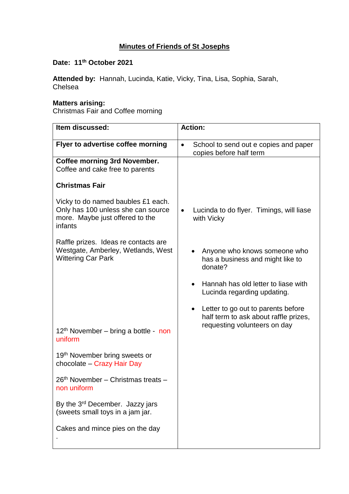## **Minutes of Friends of St Josephs**

## **Date: 11th October 2021**

**Attended by:** Hannah, Lucinda, Katie, Vicky, Tina, Lisa, Sophia, Sarah, Chelsea

## **Matters arising:**

Christmas Fair and Coffee morning

| Item discussed:                                                                                                        | <b>Action:</b>                                                                   |
|------------------------------------------------------------------------------------------------------------------------|----------------------------------------------------------------------------------|
| Flyer to advertise coffee morning                                                                                      | School to send out e copies and paper<br>$\bullet$<br>copies before half term    |
| <b>Coffee morning 3rd November.</b><br>Coffee and cake free to parents                                                 |                                                                                  |
| <b>Christmas Fair</b>                                                                                                  |                                                                                  |
| Vicky to do named baubles £1 each.<br>Only has 100 unless she can source<br>more. Maybe just offered to the<br>infants | Lucinda to do flyer. Timings, will liase<br>$\bullet$<br>with Vicky              |
| Raffle prizes. Ideas re contacts are<br>Westgate, Amberley, Wetlands, West<br><b>Wittering Car Park</b>                | Anyone who knows someone who<br>has a business and might like to<br>donate?      |
|                                                                                                                        | Hannah has old letter to liase with<br>Lucinda regarding updating.               |
|                                                                                                                        | Letter to go out to parents before<br>٠<br>half term to ask about raffle prizes, |
| $12th$ November – bring a bottle - non<br>uniform                                                                      | requesting volunteers on day                                                     |
| 19 <sup>th</sup> November bring sweets or<br>chocolate - Crazy Hair Day                                                |                                                                                  |
| 26 <sup>th</sup> November – Christmas treats –<br>non uniform                                                          |                                                                                  |
| By the 3 <sup>rd</sup> December. Jazzy jars<br>(sweets small toys in a jam jar.                                        |                                                                                  |
| Cakes and mince pies on the day                                                                                        |                                                                                  |